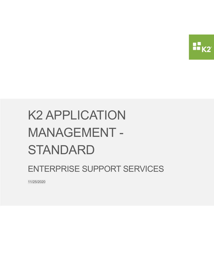

ENTERPRISE SUPPORT SERVICES

11/25/2020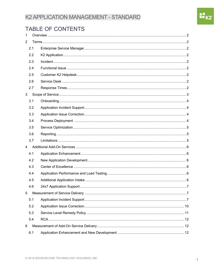# TABLE OF CONTENTS

| $\mathbf{1}$   |     |  |
|----------------|-----|--|
| $\overline{2}$ |     |  |
|                | 2.1 |  |
|                | 2.2 |  |
|                | 2.3 |  |
|                | 2.4 |  |
|                | 2.5 |  |
|                | 2.6 |  |
|                | 2.7 |  |
| 3              |     |  |
|                | 3.1 |  |
|                | 3.2 |  |
|                | 3.3 |  |
|                | 3.4 |  |
|                | 3.5 |  |
|                | 3.6 |  |
|                | 3.7 |  |
| $\overline{4}$ |     |  |
|                | 4.1 |  |
|                | 4.2 |  |
|                | 4.3 |  |
|                | 4.4 |  |
|                | 4.5 |  |
|                | 4.6 |  |
| 5              |     |  |
|                | 5.1 |  |
|                | 5.2 |  |
|                | 5.3 |  |
|                | 5.4 |  |
| 6              |     |  |
|                | 6.1 |  |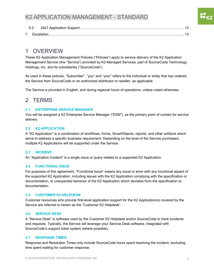# 1 OVERVIEW

These K2 Application Management Policies ("Policies") apply to service delivery of the K2 Application Management Service (the "Service") provided by K2 Managed Services, part of SourceCode Technology Holdings, Inc. and its subsidiaries ("SourceCode").

As used in these policies, "Subscriber", "you" and "your" refers to the individual or entity that has ordered the Service from SourceCode or an authorized distributor or reseller, as applicable.

The Service is provided in English, and during regional hours of operations, unless noted otherwise.

# 2 TERMS

#### **2.1 ENTERPRISE SERVICE MANAGER**

You will be assigned a K2 Enterprise Service Manager ("ESM"), as the primary point of contact for service delivery.

#### **2.2 K2 APPLICATION**

A "K2 Application" is a combination of workflows, forms, SmartObjects, reports, and other artifacts which serve to address a specific business requirement. Depending on the level of the Service purchased, multiple K2 Applications will be supported under the Service.

#### **2.3 INCIDENT**

An "Application Incident" is a single issue or query related to a supported K2 Application.

#### **2.4 FUNCTIONAL ISSUE**

For purposes of this agreement, "Functional Issue" means any issue or error with any functional aspect of the supported K2 Application, including issues with the K2 Application complying with the specification or documentation, or unexpected behavior of the K2 Application which deviates from the specification or documentation.

#### **2.5 CUSTOMER K2 HELPDESK**

Customer resources who provide first-level application support for the K2 Application(s) covered by the Service are referred to herein as the "Customer K2 Helpdesk".

#### **2.6 SERVICE DESK**

A "Service Desk" is software used by the Customer K2 Helpdesk and/or SourceCode to track incidents and requests. Typically, the Service will leverage your Service Desk software, integrated with SourceCode's support ticket system (where possible).

#### **2.7 RESPONSE TIMES**

Response and Resolution Times only include SourceCode hours spent resolving the incident, excluding time spent waiting for customer response.

OU<br>Doka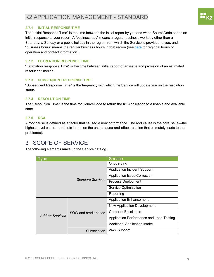#### **2.7.1 INITIAL RESPONSE TIME**

The "Initial Response Time" is the time between the initial report by you and when SourceCode sends an initial response to your report. A "business day" means a regular business workday other than a Saturday, a Sunday or a public holiday in the region from which the Service is provided to you, and "business hours" means the regular business hours in that region (see here for regional hours of operation and contact information).

#### **2.7.2 ESTIMATION RESPONSE TIME**

"Estimation Response Time" is the time between initial report of an issue and provision of an estimated resolution timeline.

#### **2.7.3 SUBSEQUENT RESPONSE TIME**

"Subsequent Response Time" is the frequency with which the Service will update you on the resolution status.

#### **2.7.4 RESOLUTION TIME**

The "Resolution Time" is the time for SourceCode to return the K2 Application to a usable and available state.

#### **2.7.5 RCA**

A root cause is defined as a factor that caused a nonconformance. The root cause is the core issue—the highest-level cause—that sets in motion the entire cause-and-effect reaction that ultimately leads to the problem(s).

# 3 SCOPE OF SERVICE

The following elements make up the Service catalog.

| ype                    |                          | <b>Service</b>                           |
|------------------------|--------------------------|------------------------------------------|
|                        |                          | Onboarding                               |
|                        |                          | <b>Application Incident Support</b>      |
|                        |                          | <b>Application Issue Correction</b>      |
|                        | <b>Standard Services</b> | Process Deployment                       |
|                        |                          | Service Optimization                     |
|                        |                          | Reporting                                |
|                        | SOW and credit-based     | <b>Application Enhancement</b>           |
|                        |                          | New Application Development              |
|                        |                          | <b>Center of Excellence</b>              |
| <b>Add-on Services</b> |                          | Application Performance and Load Testing |
|                        |                          | <b>Additional Application Intake</b>     |
|                        | Subscription             | 24x7 Support                             |

 $\mathbf{H}_{\mathsf{K2}}$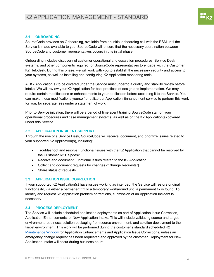# **3.1 ONBOARDING**

SourceCode provides an Onboarding, available from an initial onboarding call with the ESM until the Service is made available to you. SourceCode will ensure that the necessary coordination between SourceCode and customer representatives occurs in this initial phase.

Onboarding includes discovery of customer operational and escalation procedures, Service Desk systems, and other components required for SourceCode representatives to engage with the Customer K2 Helpdesk. During this phase, we will work with you to establish the necessary security and access to your systems, as well as installing and configuring K2 Application monitoring tools.

All K2 Application(s) to be covered under the Service must undergo a quality and stability review before intake. We will review your K2 Application for best practices of design and implementation. We may require certain modifications or enhancements to your application before accepting it to the Service. You can make these modifications yourself or utilize our Application Enhancement service to perform this work for you, for separate fees under a statement of work.

Prior to Service initiation, there will be a period of time spent training SourceCode staff on your operational procedures and case management systems, as well as on the K2 Application(s) covered under this Service.

# **3.2 APPLICATION INCIDENT SUPPORT**

Through the use of a Service Desk, SourceCode will receive, document, and prioritize issues related to your supported K2 Application(s), including:

- Troubleshoot and resolve Functional Issues with the K2 Application that cannot be resolved by the Customer K2 Helpdesk
- Receive and document Functional Issues related to the K2 Application
- Collect and document requests for changes ("Change Requests")
- Share status of requests

# **3.3 APPLICATION ISSUE CORRECTION**

If your supported K2 Application(s) have issues working as intended, the Service will restore original functionality, via either a permanent fix or a temporary workaround until a permanent fix is found. To identify and request K2 Application problem corrections, submission of an Application Incident is necessary.

# **3.4 PROCESS DEPLOYMENT**

The Service will include scheduled application deployments as part of Application Issue Correction, Application Enhancements, or New Application Intake. This will include validating source and target environment readiness, solution packaging from source environment, and solution deployment to the target environment. This work will be performed during the customer's standard scheduled K2 Maintenance Window for Application Enhancements and Application Issue Corrections, unless an emergency change request has been requested and approved by the customer. Deployment for New Application Intake will occur during business hours.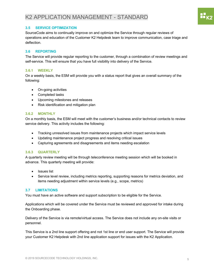# **3.5 SERVICE OPTIMIZATION**

SourceCode aims to continually improve on and optimize the Service through regular reviews of operations and education of the Customer K2 Helpdesk team to improve communication, case triage and deflection.

## **3.6 REPORTING**

The Service will provide regular reporting to the customer, through a combination of review meetings and self-service. This will ensure that you have full visibility into delivery of the Service.

#### **3.6.1 WEEKLY**

On a weekly basis, the ESM will provide you with a status report that gives an overall summary of the following:

- On-going activities
- Completed tasks
- Upcoming milestones and releases
- Risk identification and mitigation plan

#### **3.6.2 MONTHLY**

On a monthly basis, the ESM will meet with the customer's business and/or technical contacts to review service delivery. This activity includes the following:

- Tracking unresolved issues from maintenance projects which impact service levels
- Updating maintenance project progress and resolving critical issues
- Capturing agreements and disagreements and items needing escalation

#### **3.6.3 QUARTERLY**

A quarterly review meeting will be through teleconference meeting session which will be booked in advance. This quarterly meeting will provide:

- Issues list
- Service level review, including metrics reporting, supporting reasons for metrics deviation, and items needing adjustment within service levels (e.g., scope, metrics)

#### **3.7 LIMITATIONS**

You must have an active software and support subscription to be eligible for the Service.

Applications which will be covered under the Service must be reviewed and approved for intake during the Onboarding phase.

Delivery of the Service is via remote/virtual access. The Service does not include any on-site visits or personnel.

This Service is a 2nd line support offering and not 1st line or end user support. The Service will provide your Customer K2 Helpdesk with 2nd line application support for issues with the K2 Application.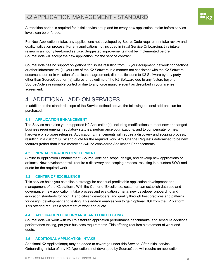A transition period is required for initial service setup and for every new application intake before service levels can be enforced.

For New Application intake, any applications not developed by SourceCode require an intake review and quality validation process. For any applications not included in initial Service Onboarding, this intake review is an hourly fee-based service. Suggested improvements must be implemented before SourceCode will accept the new application into the service contract.

SourceCode has no support obligations for issues resulting from: (i) your equipment, network connections or other infrastructure; (ii) your use of the K2 Software in a manner not consistent with the K2 Software documentation or in violation of the license agreement; (iii) modifications to K2 Software by any party other than SourceCode; or (iv) failures or downtime of the K2 Software due to any factors beyond SourceCode's reasonable control or due to any force majeure event as described in your license agreement.

# 4 ADDITIONAL ADD-ON SERVICES

In addition to the standard scope of the Service defined above, the following optional add-ons can be purchased.

# **4.1 APPLICATION ENHANCEMENT**

The Service maintains your supported K2 Application(s), including modifications to meet new or changed business requirements, regulatory statutes, performance optimizations, and to compensate for new hardware or software releases. Application Enhancements will require a discovery and scoping process, resulting in a custom SOW and quote for the required work. Any Change Requests determined to be new features (rather than issue correction) will be considered Application Enhancements.

## **4.2 NEW APPLICATION DEVELOPMENT**

Similar to Application Enhancement, SourceCode can scope, design, and develop new applications or artifacts. New development will require a discovery and scoping process, resulting in a custom SOW and quote for the required work.

# **4.3 CENTER OF EXCELLENCE**

This service helps you establish a strategy for continual predictable application development and management of the K2 platform. With the Center of Excellence, customer can establish data use and governance, new application intake process and evaluation criteria, new developer onboarding and education standards for both IT and citizen developers, and quality through best practices and patterns for design, development and testing. This add-on enables you to gain optimal ROI from the K2 platform. This offering requires a statement of work and quote.

## **4.4 APPLICATION PERFORMANCE AND LOAD TESTING**

SourceCode will work with you to establish application performance benchmarks, and schedule additional performance testing, per your business requirements. This offering requires a statement of work and quote.

# **4.5 ADDITIONAL APPLICATION INTAKE**

Additional K2 Application(s) may be added to coverage under this Service. After initial service Onboarding, intake of any K2 Applications not developed by SourceCode will require an application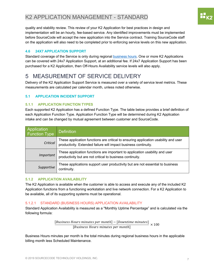quality and stability review. This review of your K2 Application for best practices in design and implementation will be an hourly, fee-based service. Any identified improvements must be implemented before SourceCode will accept the new application into the Service contract. Training SourceCode staff on the application will also need to be completed prior to enforcing service levels on this new application.

## **4.6 24X7 APPLICATION SUPPORT**

Standard coverage of the Service is only during regional business hours. One or more K2 Applications can be covered with 24x7 Application Support, at an additional fee. If 24x7 Application Support has been purchased for a K2 Application, then Off-Hours Availability service levels will also apply.

# 5 MEASUREMENT OF SERVICE DELIVERY

Delivery of the K2 Application Support Service is measured over a variety of service level metrics. These measurements are calculated per calendar month, unless noted otherwise.

## **5.1 APPLICATION INCIDENT SUPPORT**

#### **5.1.1 APPLICATION FUNCTION TYPES**

Each supported K2 Application has a defined Function Type. The table below provides a brief definition of each Application Function Type. Application Function Type will be determined during K2 Application intake and can be changed by mutual agreement between customer and SourceCode.

| Application<br>Function Type | <b>Definition</b>                                                                                                                                      |
|------------------------------|--------------------------------------------------------------------------------------------------------------------------------------------------------|
| Critical                     | These application functions are critical to ensuring application usability and user<br>productivity. Extended failure will impact business continuity. |
| Important                    | These application functions are important to application usability and user<br>productivity but are not critical to business continuity.               |
| Supportive                   | These applications support user productivity but are not essential to business<br>continuity.                                                          |

## **5.1.2 APPLICATION AVAILABILITY**

The K2 Application is available when the customer is able to access and execute any of the included K2 Application functions from a functioning workstation and live network connection. For a K2 Application to be available, all of its supporting systems must be operational.

## 5.1.2.1 STANDARD (BUSINESS HOURS) APPLICATION AVAILABILITY

Standard Application Availability is measured as a "Monthly Uptime Percentage" and is calculated via the following formula:

 $[Business \, Hours \, minutes \, per \, month] - [Downtime \, minutes] \times 100$  [Business Hours minutes per month]

Business Hours minutes per month is the total minutes during regional business hours in the applicable billing month less Scheduled Maintenance.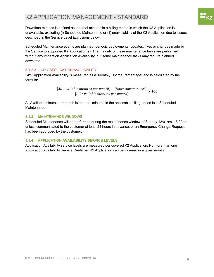Downtime minutes is defined as the total minutes in a billing month in which the K2 Application is unavailable, excluding (i) Scheduled Maintenance or (ii) unavailability of the K2 Application due to issues described in the Service Level Exclusions below.

Scheduled Maintenance events are planned, periodic deployments, updates, fixes or changes made by the Service to supported K2 Application(s). The majority of these maintenance tasks are performed without any impact on Application Availability, but some maintenance tasks may require planned downtime.

## 5.1.2.2 24X7 APPLICATION AVAILABILITY

24x7 Application Availability is measured as a "Monthly Uptime Percentage" and is calculated by the formula:

 $[All Available minutes per month] - [Down time minutes]  
$$
\times 100
$$
 [All Available minutes per month]$ </u>

All Available minutes per month is the total minutes in the applicable billing period less Scheduled Maintenance.

## **5.1.3 MAINTENANCE WINDOWS**

Scheduled Maintenance will be performed during the maintenance window of Sunday 12:01am – 8:00am, unless communicated to the customer at least 24 hours in advance, or an Emergency Change Request has been approved by the customer.

## **5.1.4 APPLICATION AVAILABILITY SERVICE LEVELS**

Application Availability service levels are measured per covered K2 Application. No more than one Application Availability Service Credit per K2 Application can be incurred in a given month.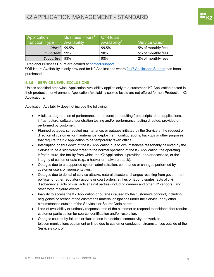| Application<br><b>Function Type</b> | Business Hours <sup>1</sup><br>Availability | <b>Off-Hours</b><br>Availability <sup>2</sup> | Service Credit     |
|-------------------------------------|---------------------------------------------|-----------------------------------------------|--------------------|
| Critical                            | 99.5%                                       | 99.5%                                         | 5% of monthly fees |
| Important                           | 99%                                         | 98%                                           | 5% of monthly fees |
| Supportive                          | 98%                                         | 98%                                           | 2% of monthly fees |

<sup>1</sup> Regional Business Hours are defined at contact-support.

<sup>2</sup> Off-Hours Availability is only provided for K2 Applications where  $24x7$  Application Support has been purchased.

#### **5.1.5 SERVICE LEVEL EXCLUSIONS**

Unless specified otherwise, Application Availability applies only to a customer's K2 Application hosted in their production environment. Application Availability service levels are not offered for non-Production K2 Applications.

Application Availability does not include the following:

- A failure, degradation of performance or malfunction resulting from scripts, data, applications, infrastructure, software, penetration testing and/or performance testing directed, provided or performed by customer.
- Planned outages, scheduled maintenance, or outages initiated by the Service at the request or direction of customer for maintenance, deployment, configurations, backups or other purposes that require the K2 Application to be temporarily taken offline.
- Interruption or shut down of the K2 Application due to circumstances reasonably believed by the Service to be a significant threat to the normal operation of the K2 Application, the operating infrastructure, the facility from which the K2 Application is provided, and/or access to, or the integrity of customer data (e.g., a hacker or malware attack).
- Outages due to unsupported system administration, commands or changes performed by customer users or representatives.
- Outages due to denial of service attacks, natural disasters, changes resulting from government, political, or other regulatory actions or court orders, strikes or labor disputes, acts of civil disobedience, acts of war, acts against parties (including carriers and other K2 vendors), and other force majeure events.
- Inability to access the K2 Application or outages caused by the customer's conduct, including negligence or breach of the customer's material obligations under the Service, or by other circumstances outside of the Service's or SourceCode control.
- Lack of availability or untimely response time of the customer to respond to incidents that require customer participation for source identification and/or resolution.
- Outages caused by failures or fluctuations in electrical, connectivity, network or telecommunications equipment or lines due to customer conduct or circumstances outside of the Service's control.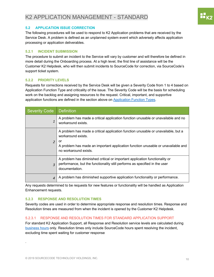## **5.2 APPLICATION ISSUE CORRECTION**

The following procedures will be used to respond to K2 Application problems that are received by the Service Desk. A problem is defined as an unplanned system event which adversely affects application processing or application deliverables.

## **5.2.1 INCIDENT SUBMISSION**

The procedure to submit an incident to the Service will vary by customer and will therefore be defined in more detail during the Onboarding process. At a high level, the first line of assistance will be the Customer K2 Helpdesk, who will then submit incidents to SourceCode for correction, via SourceCode's support ticket system.

## **5.2.2 PRIORITY LEVELS**

Requests for corrections received by the Service Desk will be given a Severity Code from 1 to 4 based on Application Function Type and criticality of the issue. The Severity Code will be the basis for scheduling work on the backlog and assigning resources to the request. Critical, important, and supportive application functions are defined in the section above on Application Function Types.

| <b>Severity Code</b> | <b>Definition</b>                                                                                                                                                                                                          |
|----------------------|----------------------------------------------------------------------------------------------------------------------------------------------------------------------------------------------------------------------------|
| 1                    | A problem has made a critical application function unusable or unavailable and no<br>workaround exists.                                                                                                                    |
| $\overline{2}$       | A problem has made a critical application function unusable or unavailable, but a<br>workaround exists.<br>or<br>A problem has made an important application function unusable or unavailable and<br>no workaround exists. |
| $\overline{z}$       | A problem has diminished critical or important application functionality or<br>performance, but the functionality still performs as specified in the user<br>documentation.                                                |
| $\overline{4}$       | A problem has diminished supportive application functionality or performance.                                                                                                                                              |

Any requests determined to be requests for new features or functionality will be handled as Application Enhancement requests.

## **5.2.3 RESPONSE AND RESOLUTION TIMES**

Severity codes are used in order to determine appropriate response and resolution times. Response and Resolution times are measured from when the incident is opened by the Customer K2 Helpdesk.

## 5.2.3.1 RESPONSE AND RESOLUTION TIMES FOR STANDARD APPLICATION SUPPORT

For standard K2 Application Support, all Response and Resolution service levels are calculated during business hours only. Resolution times only include SourceCode hours spent resolving the incident, excluding time spent waiting for customer response

.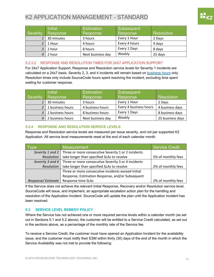| <b>Severity</b> | <b>Initial</b><br>Response | <b>Estimation</b><br>Response | Subsequent<br>Response | Resolution |
|-----------------|----------------------------|-------------------------------|------------------------|------------|
|                 | 30 minutes                 | 3 hours                       | Every 1 Hour           | 2 Days     |
|                 | 1 Hour                     | 4 hours                       | Every 4 hours          | 4 days     |
|                 | 2 hour                     | 8 hours                       | Every 1 Days           | 8 days     |
|                 | 2 hour                     | Next business day             | Weekly                 | 25 days    |

## 5.2.3.2 RESPONSE AND RESOLUTION TIMES FOR 24X7 APPLICATION SUPPORT

For 24x7 Application Support, Response and Resolution service levels for Severity 1 incidents are calculated on a 24x7 basis. Severity 2, 3, and 4 incidents will remain based on business hours only. Resolution times only include SourceCode hours spent resolving the incident, excluding time spent waiting for customer response.

|          | <b>Initial</b>   | <b>Estimation</b> | Subsequent             |                  |
|----------|------------------|-------------------|------------------------|------------------|
| Severity | Response         | Response          | Response               | Resolution       |
|          | 30 minutes       | 3 hours           | Every 1 Hour           | 2 Days           |
|          | 1 business hours | 4 business hours  | Every 4 business hours | 4 business days  |
|          | 2 business hours | 8 business hours  | Every 1 Days           | 8 business days  |
|          | 2 business hours | Next business day | Weekly                 | 25 business days |

## **5.2.4 RESPONSE AND RESOLUTION SERVICE LEVELS**

Response and Resolution service levels are measured per issue severity, and not per supported K2 Application. All service level measurements reset at the end of each calendar month.

| be                                                                     | <b>Measurement</b>                                                     | Service Credit     |
|------------------------------------------------------------------------|------------------------------------------------------------------------|--------------------|
|                                                                        | Severity 1 and 2   Three or more consecutive Severity 1 or 2 incidents |                    |
| <b>Resolution</b>                                                      | take longer than specified SLAs to resolve                             | 5% of monthly fees |
| Severity 3 and 4   Three or more consecutive Severity 3 or 4 incidents |                                                                        |                    |
| take longer than specified SLAs to resolve<br>Resolution               |                                                                        | 2% of monthly fees |
|                                                                        | Three or more consecutive incidents exceed Initial                     |                    |
|                                                                        | Response, Estimation Response, and/or Subsequent                       |                    |
| Response/Estimate                                                      | Response time SLAs                                                     | 2% of monthly fees |

If the Service does not achieve the relevant Initial Response, Recovery and/or Resolution service level, SourceCode will issue, and implement, an appropriate escalation action plan for the handling and resolution of the Application Incident. SourceCode will update the plan until the Application Incident has been resolved.

## **5.3 SERVICE LEVEL REMEDY POLICY**

Where the Service has not achieved one or more required service levels within a calendar month (as set out in Sections 5.1 and 5.2 above), the customer will be entitled to a Service Credit calculated, as set out in the sections above, as a percentage of the monthly rate of the Service fee.

To receive a Service Credit, the customer must have opened an Application Incident for the availability issue, and the customer must notify their ESM within thirty (30) days of the end of the month in which the Service Availability was not met to provide the following: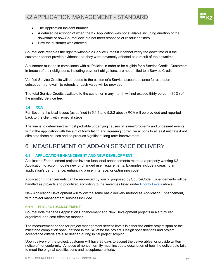- The Application Incident number
- A detailed description of when the K2 Application was not available including duration of the downtime or how SourceCode did not meet response or resolution times
- How the customer was affected

SourceCode reserves the right to withhold a Service Credit if it cannot verify the downtime or if the customer cannot provide evidence that they were adversely affected as a result of the downtime.

A customer must be in compliance with all Policies in order to be eligible for a Service Credit. Customers in breach of their obligations, including payment obligations, are not entitled to a Service Credit.

Verified Service Credits will be added to the customer's Service account balance for use upon subsequent renewal. No refunds or cash value will be provided.

The total Service Credits available to the customer in any month will not exceed thirty percent (30%) of the monthly Service fee.

#### **5.4 RCA**

For Severity 1 critical issues (as defined in 5.1.1 and 5.2.2 above) RCA will be provided and reported back to the client with remedial steps.

The aim is to determine the most probable underlying causes of issues/problems and undesired events within the application with the aim of formulating and agreeing corrective actions to at least mitigate if not eliminate those causes and so produce significant long-term improvement.

# 6 MEASUREMENT OF ADD-ON SERVICE DELIVERY

## **6.1 APPLICATION ENHANCEMENT AND NEW DEVELOPMENT**

Application Enhancement projects involve functional enhancements made to a properly working K2 Application to accommodate new or changed user requirements. Examples include increasing an application's performance, enhancing a user interface, or optimizing code.

Application Enhancements can be requested by you or proposed by SourceCode. Enhancements will be handled as projects and prioritized according to the severities listed under Priority Levels above.

New Application Development will follow the same basic delivery method as Application Enhancement, with project management services included.

#### **6.1.1 PROJECT MANAGEMENT**

SourceCode manages Application Enhancement and New Development projects in a structured, organized, and cost-effective manner.

The measurement period for project management service levels is either the entire project span or the milestone completion span, defined in the SOW for the project. Design specifications and project acceptance criteria are also defined during initial project scoping.

Upon delivery of the project, customer will have 30 days to accept the deliverables, or provide written notice of nonconformity. A notice of nonconformity must include a description of how the deliverable fails to meet the original specifications and acceptance criteria.